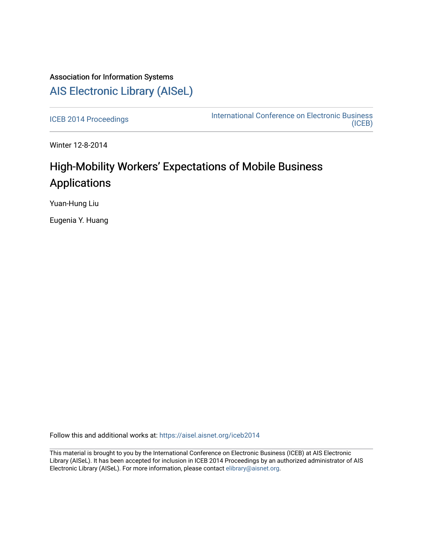## Association for Information Systems [AIS Electronic Library \(AISeL\)](https://aisel.aisnet.org/)

[ICEB 2014 Proceedings](https://aisel.aisnet.org/iceb2014) **International Conference on Electronic Business** [\(ICEB\)](https://aisel.aisnet.org/iceb) 

Winter 12-8-2014

## High-Mobility Workers' Expectations of Mobile Business Applications

Yuan-Hung Liu

Eugenia Y. Huang

Follow this and additional works at: [https://aisel.aisnet.org/iceb2014](https://aisel.aisnet.org/iceb2014?utm_source=aisel.aisnet.org%2Ficeb2014%2F40&utm_medium=PDF&utm_campaign=PDFCoverPages)

This material is brought to you by the International Conference on Electronic Business (ICEB) at AIS Electronic Library (AISeL). It has been accepted for inclusion in ICEB 2014 Proceedings by an authorized administrator of AIS Electronic Library (AISeL). For more information, please contact [elibrary@aisnet.org.](mailto:elibrary@aisnet.org%3E)